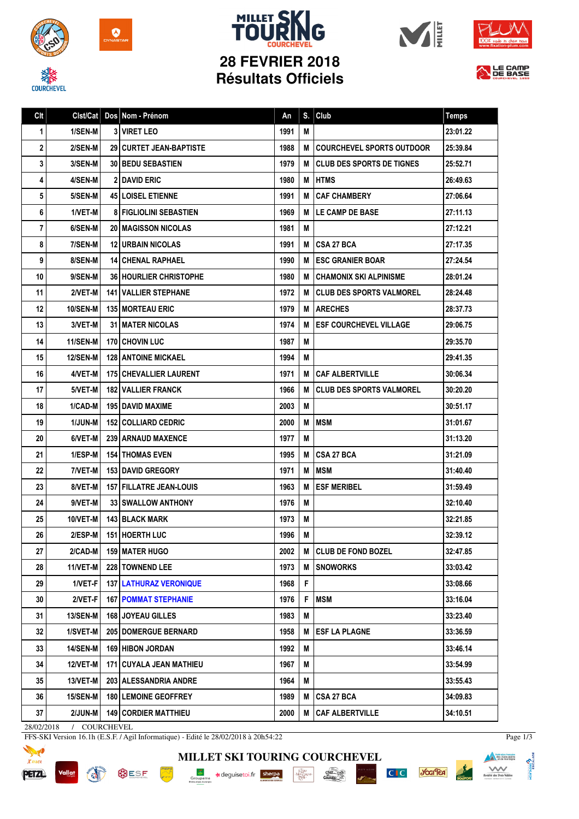

**COURCHEVEL** 











| Clt            | Clst/Cat        | Dos Nom - Prénom                 | An   | S. | Club                             | <b>Temps</b> |
|----------------|-----------------|----------------------------------|------|----|----------------------------------|--------------|
| $\mathbf{1}$   | 1/SEN-M         | <b>3 VIRET LEO</b>               | 1991 | M  |                                  | 23:01.22     |
| $\mathbf 2$    | 2/SEN-M         | <b>29   CURTET JEAN-BAPTISTE</b> | 1988 | M  | <b>COURCHEVEL SPORTS OUTDOOR</b> | 25:39.84     |
| 3              | 3/SEN-M         | <b>30 BEDU SEBASTIEN</b>         | 1979 | М  | <b>CLUB DES SPORTS DE TIGNES</b> | 25:52.71     |
| 4              | 4/SEN-M         | <b>2 DAVID ERIC</b>              | 1980 | M  | <b>HTMS</b>                      | 26:49.63     |
| 5              | 5/SEN-M         | <b>45 LOISEL ETIENNE</b>         | 1991 | M  | <b>CAF CHAMBERY</b>              | 27:06.64     |
| 6              | 1/VET-M         | <b>8 FIGLIOLINI SEBASTIEN</b>    | 1969 | M  | LE CAMP DE BASE                  | 27:11.13     |
| $\overline{7}$ | 6/SEN-M         | <b>20 IMAGISSON NICOLAS</b>      | 1981 | M  |                                  | 27:12.21     |
| 8              | 7/SEN-M         | <b>12 URBAIN NICOLAS</b>         | 1991 | M  | <b>CSA 27 BCA</b>                | 27:17.35     |
| 9              | 8/SEN-M         | <b>14 CHENAL RAPHAEL</b>         | 1990 | M  | <b>ESC GRANIER BOAR</b>          | 27:24.54     |
| 10             | 9/SEN-M         | 36 HOURLIER CHRISTOPHE           | 1980 | M  | CHAMONIX SKI ALPINISME           | 28:01.24     |
| 11             | 2/VET-M         | <b>141   VALLIER STEPHANE</b>    | 1972 | М  | <b>CLUB DES SPORTS VALMOREL</b>  | 28:24.48     |
| 12             | <b>10/SEN-M</b> | <b>135 MORTEAU ERIC</b>          | 1979 | М  | <b>ARECHES</b>                   | 28:37.73     |
| 13             | 3/VET-M         | <b>31 I MATER NICOLAS</b>        | 1974 | М  | <b>ESF COURCHEVEL VILLAGE</b>    | 29:06.75     |
| 14             | <b>11/SEN-M</b> | <b>170 CHOVIN LUC</b>            | 1987 | M  |                                  | 29:35.70     |
| 15             | <b>12/SEN-M</b> | <b>128 ANTOINE MICKAEL</b>       | 1994 | M  |                                  | 29:41.35     |
| 16             | 4/VET-M         | 175 CHEVALLIER LAURENT           | 1971 | M  | <b>CAF ALBERTVILLE</b>           | 30:06.34     |
| 17             | 5/VET-M         | <b>182 VALLIER FRANCK</b>        | 1966 | M  | <b>CLUB DES SPORTS VALMOREL</b>  | 30:20.20     |
| 18             | 1/CAD-M         | <b>195 I DAVID MAXIME</b>        | 2003 | M  |                                  | 30:51.17     |
| 19             | 1/JUN-M         | <b>152 COLLIARD CEDRIC</b>       | 2000 | M  | <b>IMSM</b>                      | 31:01.67     |
| 20             | 6/VET-M         | 239   ARNAUD MAXENCE             | 1977 | M  |                                  | 31:13.20     |
| 21             | 1/ESP-M         | <b>154 THOMAS EVEN</b>           | 1995 | M  | <b>CSA 27 BCA</b>                | 31:21.09     |
| 22             | 7/VET-M         | <b>153 DAVID GREGORY</b>         | 1971 | M  | <b>IMSM</b>                      | 31:40.40     |
| 23             | 8/VET-M         | 157 FILLATRE JEAN-LOUIS          | 1963 | M  | <b>ESF MERIBEL</b>               | 31:59.49     |
| 24             | 9/VET-M         | 33 SWALLOW ANTHONY               | 1976 | M  |                                  | 32:10.40     |
| 25             | 10/VET-M        | <b>143 BLACK MARK</b>            | 1973 | M  |                                  | 32:21.85     |
| 26             | 2/ESP-M         | <b>151 HOERTH LUC</b>            | 1996 | Μ  |                                  | 32:39.12     |
| 27             | $2/CAD-M$       | 159 MATER HUGO                   | 2002 | M  | <b>CLUB DE FOND BOZEL</b>        | 32:47.85     |
| 28             | 11/VET-M        | 228 TOWNEND LEE                  | 1973 | M  | <b>SNOWORKS</b>                  | 33:03.42     |
| 29             | 1/VET-F         | <b>137 LATHURAZ VERONIQUE</b>    | 1968 | F  |                                  | 33:08.66     |
| 30             | 2/VET-F         | <b>167 POMMAT STEPHANIE</b>      | 1976 | F  | <b>MSM</b>                       | 33:16.04     |
| 31             | <b>13/SEN-M</b> | <b>168 JOYEAU GILLES</b>         | 1983 | M  |                                  | 33:23.40     |
| 32             | 1/SVET-M        | <b>205   DOMERGUE BERNARD</b>    | 1958 | M  | <b>ESF LA PLAGNE</b>             | 33:36.59     |
| 33             | <b>14/SEN-M</b> | 169 HIBON JORDAN                 | 1992 | M  |                                  | 33:46.14     |
| 34             | 12/VET-M        | 171 CUYALA JEAN MATHIEU          | 1967 | M  |                                  | 33:54.99     |
| 35             | 13/VET-M        | 203   ALESSANDRIA ANDRE          | 1964 | M  |                                  | 33:55.43     |
| 36             | <b>15/SEN-M</b> | <b>180 LEMOINE GEOFFREY</b>      | 1989 | M  | <b>CSA 27 BCA</b>                | 34:09.83     |
| 37             | 2/JUN-M         | <b>149 CORDIER MATTHIEU</b>      | 2000 | Μ  | <b>CAF ALBERTVILLE</b>           | 34:10.51     |

28/02/2018 / COURCHEVEL

Vallat

FFS-SKI Version 16.1h (E.S.F. / Agil Informatique) - Edité le 28/02/2018 à 20h54:22



**BUSF PORT AND IN** 



Page 1/3

**Manufacture Income of Act of the School Separate** 

C<sub>IC</sub> you'lea

MONE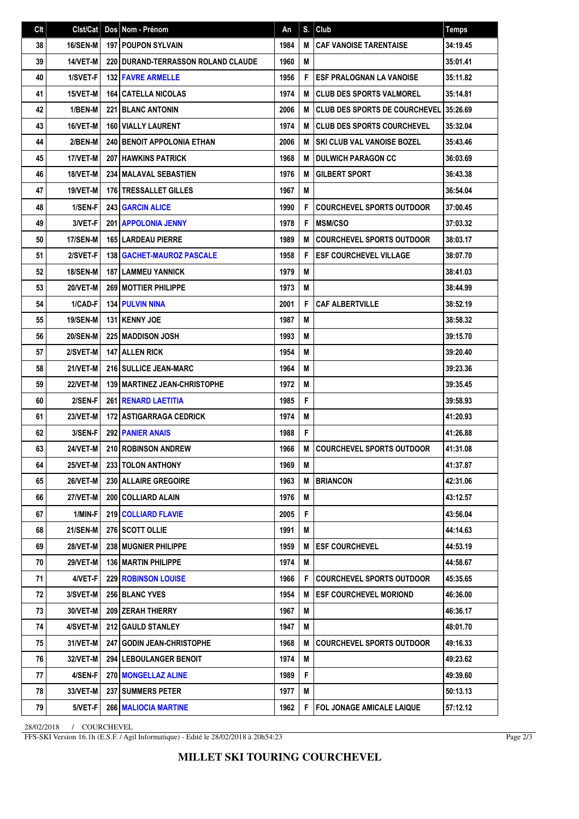| Clt | Clst/Cat        | Dos Nom - Prénom                      | An   | S. | Club                                   | <b>Temps</b> |
|-----|-----------------|---------------------------------------|------|----|----------------------------------------|--------------|
| 38  | 16/SEN-M        | <b>197 POUPON SYLVAIN</b>             | 1984 | M  | <b>CAF VANOISE TARENTAISE</b>          | 34:19.45     |
| 39  | 14/VET-M        | 220 DURAND-TERRASSON ROLAND CLAUDE    | 1960 | M  |                                        | 35:01.41     |
| 40  | 1/SVET-F        | <b>132 FAVRE ARMELLE</b>              | 1956 | F  | <b>ESF PRALOGNAN LA VANOISE</b>        | 35:11.82     |
| 41  | 15/VET-M        | <b>164 CATELLA NICOLAS</b>            | 1974 | M  | <b>CLUB DES SPORTS VALMOREL</b>        | 35:14.81     |
| 42  | 1/BEN-M         | <b>221 BLANC ANTONIN</b>              | 2006 | M  | <b>I CLUB DES SPORTS DE COURCHEVEL</b> | 35:26.69     |
| 43  | 16/VET-M        | <b>160 VIALLY LAURENT</b>             | 1974 | M  | <b>I CLUB DES SPORTS COURCHEVEL</b>    | 35:32.04     |
| 44  | 2/BEN-M         | <b>240 BENOIT APPOLONIA ETHAN</b>     | 2006 | M  | <b>SKI CLUB VAL VANOISE BOZEL</b>      | 35:43.46     |
| 45  | 17/VET-M        | <b>207 HAWKINS PATRICK</b>            | 1968 | M  | I DULWICH PARAGON CC                   | 36:03.69     |
| 46  | 18/VET-M        | <b>234 MALAVAL SEBASTIEN</b>          | 1976 | M  | GILBERT SPORT                          | 36:43.38     |
| 47  | 19/VET-M        | <b>176 TRESSALLET GILLES</b>          | 1967 | M  |                                        | 36:54.04     |
| 48  | 1/SEN-F         | <b>243 GARCIN ALICE</b>               | 1990 | F  | <b>COURCHEVEL SPORTS OUTDOOR</b>       | 37:00.45     |
| 49  | 3/VET-F         | <b>201   APPOLONIA JENNY</b>          | 1978 | F  | <b>MSM/CSO</b>                         | 37:03.32     |
| 50  | 17/SEN-M        | <b>165 LARDEAU PIERRE</b>             | 1989 | м  | <b>COURCHEVEL SPORTS OUTDOOR</b>       | 38:03.17     |
| 51  | 2/SVET-F        | 138   GACHET-MAUROZ PASCALE           | 1958 | F  | <b>ESF COURCHEVEL VILLAGE</b>          | 38:07.70     |
| 52  | <b>18/SEN-M</b> | <b>187 I LAMMEU YANNICK</b>           | 1979 | M  |                                        | 38:41.03     |
| 53  | 20/VET-M        | <b>269   MOTTIER PHILIPPE</b>         | 1973 | M  |                                        | 38:44.99     |
| 54  | 1/CAD-F         | <b>134 PULVIN NINA</b>                | 2001 | F  | <b>CAF ALBERTVILLE</b>                 | 38:52.19     |
| 55  | 19/SEN-M        | 131 KENNY JOE                         | 1987 | M  |                                        | 38:58.32     |
| 56  | <b>20/SEN-M</b> | <b>225 MADDISON JOSH</b>              | 1993 | M  |                                        | 39:15.70     |
| 57  | 2/SVET-M        | <b>147 ALLEN RICK</b>                 | 1954 | M  |                                        | 39:20.40     |
| 58  | 21/VET-M        | 216 SULLICE JEAN-MARC                 | 1964 | M  |                                        | 39:23.36     |
| 59  | 22/VET-M        | <b>139   MARTINEZ JEAN-CHRISTOPHE</b> | 1972 | M  |                                        | 39:35.45     |
| 60  | 2/SEN-F         | 261 RENARD LAETITIA                   | 1985 | F  |                                        | 39:58.93     |
| 61  | 23/VET-M        | 172 ASTIGARRAGA CEDRICK               | 1974 | M  |                                        | 41:20.93     |
| 62  | 3/SEN-F         | <b>292 PANIER ANAIS</b>               | 1988 | F  |                                        | 41:26.88     |
| 63  | 24/VET-M        | 210 ROBINSON ANDREW                   | 1966 | М  | <b>COURCHEVEL SPORTS OUTDOOR</b>       | 41:31.08     |
| 64  | 25/VET-M        | 233 TOLON ANTHONY                     | 1969 | M  |                                        | 41:37.87     |
| 65  | <b>26/VET-M</b> | 230   ALLAIRE GREGOIRE                | 1963 | М  | BRIANCON                               | 42:31.06     |
| 66  | <b>27/VET-M</b> | 200 COLLIARD ALAIN                    | 1976 | M  |                                        | 43:12.57     |
| 67  | 1/MIN-F         | 219   COLLIARD FLAVIE                 | 2005 | F  |                                        | 43:56.04     |
| 68  | <b>21/SEN-M</b> | 276 SCOTT OLLIE                       | 1991 | M  |                                        | 44:14.63     |
| 69  | 28/VET-M        | <b>238   MUGNIER PHILIPPE</b>         | 1959 | M  | <b>ESF COURCHEVEL</b>                  | 44:53.19     |
| 70  | <b>29/VET-M</b> | 136   MARTIN PHILIPPE                 | 1974 | M  |                                        | 44:58.67     |
| 71  | 4/VET-F         | <b>229 ROBINSON LOUISE</b>            | 1966 | F  | <b>COURCHEVEL SPORTS OUTDOOR</b>       | 45:35.65     |
| 72  | 3/SVET-M        | 256 BLANC YVES                        | 1954 | M  | <b>ESF COURCHEVEL MORIOND</b>          | 46:36.00     |
| 73  | 30/VET-M        | <b>209 ZERAH THIERRY</b>              | 1967 | Μ  |                                        | 46:36.17     |
| 74  | 4/SVET-M        | 212 GAULD STANLEY                     | 1947 | M  |                                        | 48:01.70     |
| 75  | 31/VET-M        | 247 GODIN JEAN-CHRISTOPHE             | 1968 | M  | COURCHEVEL SPORTS OUTDOOR              | 49:16.33     |
| 76  | <b>32/VET-M</b> | <b>294 LEBOULANGER BENOIT</b>         | 1974 | M  |                                        | 49:23.62     |
| 77  | 4/SEN-F         | 270 MONGELLAZ ALINE                   | 1989 | F  |                                        | 49:39.60     |
| 78  | 33/VET-M        | 237   SUMMERS PETER                   | 1977 | M  |                                        | 50:13.13     |
| 79  | 5/VET-F         | 266 MALIOCIA MARTINE                  | 1962 | F  | FOL JONAGE AMICALE LAIQUE              | 57:12.12     |

28/02/2018 / COURCHEVEL

FFS-SKI Version 16.1h (E.S.F. / Agil Informatique) - Edité le 28/02/2018 à 20h54:23

Page 2/3